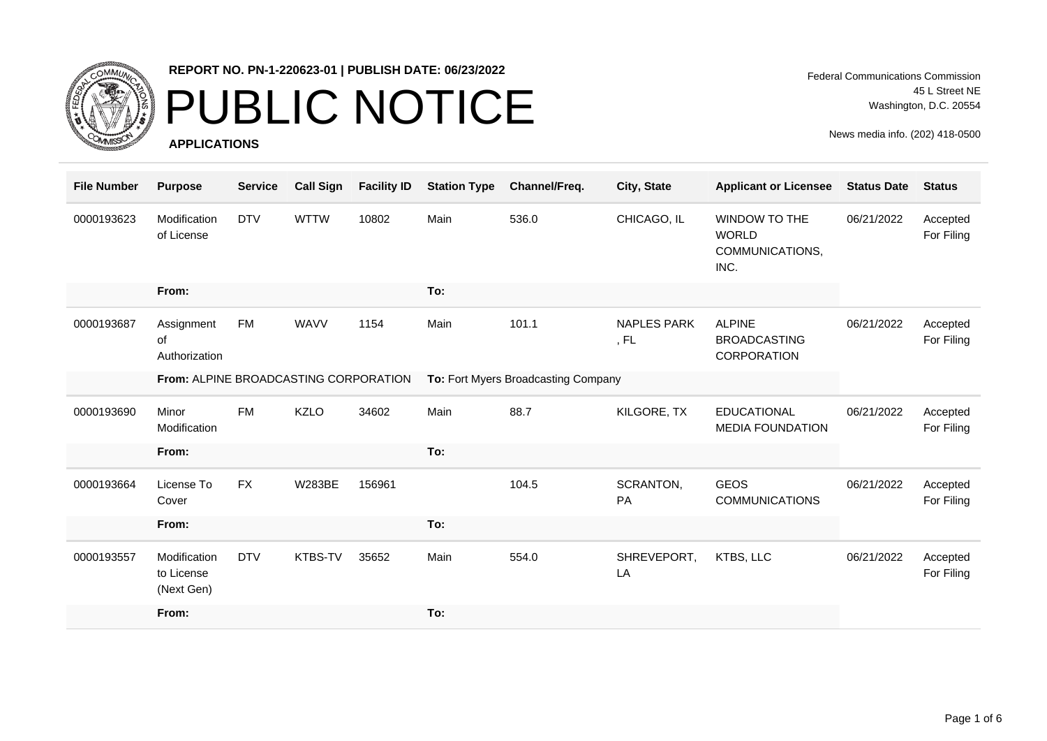

#### PUBLIC NOTICE

**APPLICATIONS**

Federal Communications Commission 45 L Street NE Washington, D.C. 20554

| <b>File Number</b> | <b>Purpose</b>                           | <b>Service</b> | <b>Call Sign</b> | <b>Facility ID</b> | <b>Station Type</b>                 | Channel/Freq. | City, State                | <b>Applicant or Licensee</b>                                    | <b>Status Date</b> | <b>Status</b>          |
|--------------------|------------------------------------------|----------------|------------------|--------------------|-------------------------------------|---------------|----------------------------|-----------------------------------------------------------------|--------------------|------------------------|
| 0000193623         | Modification<br>of License               | <b>DTV</b>     | <b>WTTW</b>      | 10802              | Main                                | 536.0         | CHICAGO, IL                | <b>WINDOW TO THE</b><br><b>WORLD</b><br>COMMUNICATIONS,<br>INC. | 06/21/2022         | Accepted<br>For Filing |
|                    | From:                                    |                |                  |                    | To:                                 |               |                            |                                                                 |                    |                        |
| 0000193687         | Assignment<br>of<br>Authorization        | FM             | <b>WAVV</b>      | 1154               | Main                                | 101.1         | <b>NAPLES PARK</b><br>, FL | <b>ALPINE</b><br><b>BROADCASTING</b><br><b>CORPORATION</b>      | 06/21/2022         | Accepted<br>For Filing |
|                    | From: ALPINE BROADCASTING CORPORATION    |                |                  |                    | To: Fort Myers Broadcasting Company |               |                            |                                                                 |                    |                        |
| 0000193690         | Minor<br>Modification                    | <b>FM</b>      | <b>KZLO</b>      | 34602              | Main                                | 88.7          | KILGORE, TX                | <b>EDUCATIONAL</b><br><b>MEDIA FOUNDATION</b>                   | 06/21/2022         | Accepted<br>For Filing |
|                    | From:                                    |                |                  |                    | To:                                 |               |                            |                                                                 |                    |                        |
| 0000193664         | License To<br>Cover                      | <b>FX</b>      | <b>W283BE</b>    | 156961             |                                     | 104.5         | SCRANTON,<br>PA            | <b>GEOS</b><br><b>COMMUNICATIONS</b>                            | 06/21/2022         | Accepted<br>For Filing |
|                    | From:                                    |                |                  |                    | To:                                 |               |                            |                                                                 |                    |                        |
| 0000193557         | Modification<br>to License<br>(Next Gen) | <b>DTV</b>     | KTBS-TV          | 35652              | Main                                | 554.0         | SHREVEPORT,<br>LA          | KTBS, LLC                                                       | 06/21/2022         | Accepted<br>For Filing |
|                    | From:                                    |                |                  |                    | To:                                 |               |                            |                                                                 |                    |                        |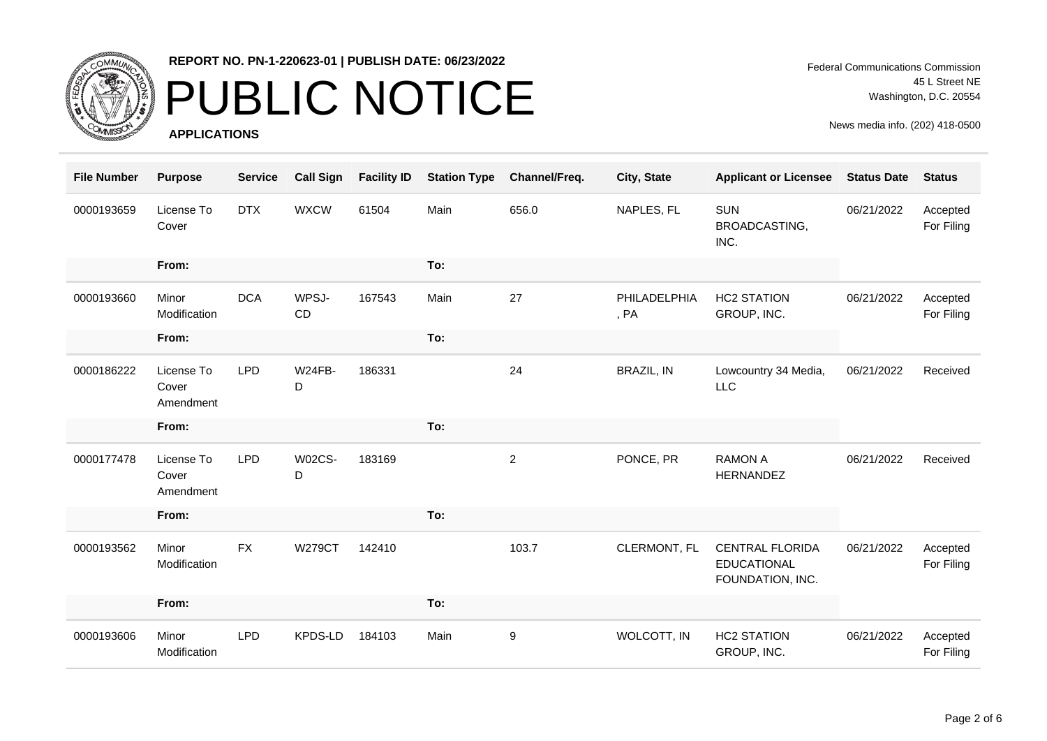

#### **REPORT NO. PN-1-220623-01 | PUBLISH DATE: 06/23/2022**

## PUBLIC NOTICE

**APPLICATIONS**

Federal Communications Commission 45 L Street NE Washington, D.C. 20554

| <b>File Number</b> | <b>Purpose</b>                   | <b>Service</b> | <b>Call Sign</b>   | <b>Facility ID</b> | <b>Station Type</b> | Channel/Freq.  | City, State          | <b>Applicant or Licensee</b>                                     | <b>Status Date</b> | <b>Status</b>          |
|--------------------|----------------------------------|----------------|--------------------|--------------------|---------------------|----------------|----------------------|------------------------------------------------------------------|--------------------|------------------------|
| 0000193659         | License To<br>Cover              | <b>DTX</b>     | <b>WXCW</b>        | 61504              | Main                | 656.0          | NAPLES, FL           | <b>SUN</b><br>BROADCASTING,<br>INC.                              | 06/21/2022         | Accepted<br>For Filing |
|                    | From:                            |                |                    |                    | To:                 |                |                      |                                                                  |                    |                        |
| 0000193660         | Minor<br>Modification            | <b>DCA</b>     | WPSJ-<br>CD        | 167543             | Main                | 27             | PHILADELPHIA<br>, PA | <b>HC2 STATION</b><br>GROUP, INC.                                | 06/21/2022         | Accepted<br>For Filing |
|                    | From:                            |                |                    |                    | To:                 |                |                      |                                                                  |                    |                        |
| 0000186222         | License To<br>Cover<br>Amendment | <b>LPD</b>     | W24FB-<br>D        | 186331             |                     | 24             | <b>BRAZIL, IN</b>    | Lowcountry 34 Media,<br>LLC                                      | 06/21/2022         | Received               |
|                    | From:                            |                |                    |                    | To:                 |                |                      |                                                                  |                    |                        |
| 0000177478         | License To<br>Cover<br>Amendment | <b>LPD</b>     | <b>W02CS-</b><br>D | 183169             |                     | $\overline{2}$ | PONCE, PR            | <b>RAMON A</b><br>HERNANDEZ                                      | 06/21/2022         | Received               |
|                    | From:                            |                |                    |                    | To:                 |                |                      |                                                                  |                    |                        |
| 0000193562         | Minor<br>Modification            | <b>FX</b>      | <b>W279CT</b>      | 142410             |                     | 103.7          | CLERMONT, FL         | <b>CENTRAL FLORIDA</b><br><b>EDUCATIONAL</b><br>FOUNDATION, INC. | 06/21/2022         | Accepted<br>For Filing |
|                    | From:                            |                |                    |                    | To:                 |                |                      |                                                                  |                    |                        |
| 0000193606         | Minor<br>Modification            | <b>LPD</b>     | KPDS-LD            | 184103             | Main                | 9              | WOLCOTT, IN          | <b>HC2 STATION</b><br>GROUP, INC.                                | 06/21/2022         | Accepted<br>For Filing |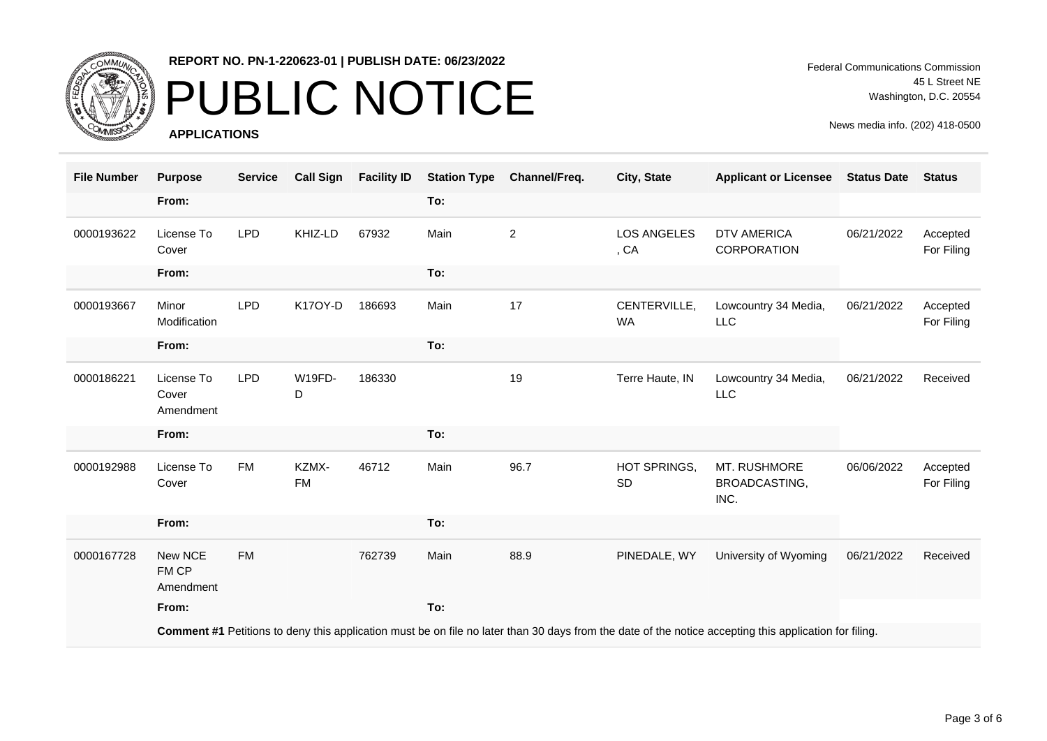

#### **REPORT NO. PN-1-220623-01 | PUBLISH DATE: 06/23/2022**

### PUBLIC NOTICE

**APPLICATIONS**

Federal Communications Commission 45 L Street NE Washington, D.C. 20554

| <b>File Number</b> | <b>Purpose</b>                                                                                                                                         | <b>Service</b> | <b>Call Sign</b>   | <b>Facility ID</b> | <b>Station Type</b> | Channel/Freq.  | City, State                | <b>Applicant or Licensee</b>          | <b>Status Date</b> | <b>Status</b>          |  |
|--------------------|--------------------------------------------------------------------------------------------------------------------------------------------------------|----------------|--------------------|--------------------|---------------------|----------------|----------------------------|---------------------------------------|--------------------|------------------------|--|
|                    | From:                                                                                                                                                  |                |                    |                    | To:                 |                |                            |                                       |                    |                        |  |
| 0000193622         | License To<br>Cover                                                                                                                                    | <b>LPD</b>     | KHIZ-LD            | 67932              | Main                | $\overline{2}$ | <b>LOS ANGELES</b><br>, CA | <b>DTV AMERICA</b><br>CORPORATION     | 06/21/2022         | Accepted<br>For Filing |  |
|                    | From:                                                                                                                                                  |                |                    |                    | To:                 |                |                            |                                       |                    |                        |  |
| 0000193667         | Minor<br>Modification                                                                                                                                  | <b>LPD</b>     | K17OY-D            | 186693             | Main                | 17             | CENTERVILLE,<br><b>WA</b>  | Lowcountry 34 Media,<br>LLC           | 06/21/2022         | Accepted<br>For Filing |  |
|                    | From:                                                                                                                                                  |                |                    |                    | To:                 |                |                            |                                       |                    |                        |  |
| 0000186221         | License To<br>Cover<br>Amendment                                                                                                                       | <b>LPD</b>     | <b>W19FD-</b><br>D | 186330             |                     | 19             | Terre Haute, IN            | Lowcountry 34 Media,<br>LLC           | 06/21/2022         | Received               |  |
|                    | From:                                                                                                                                                  |                |                    |                    | To:                 |                |                            |                                       |                    |                        |  |
| 0000192988         | License To<br>Cover                                                                                                                                    | <b>FM</b>      | KZMX-<br><b>FM</b> | 46712              | Main                | 96.7           | HOT SPRINGS,<br><b>SD</b>  | MT. RUSHMORE<br>BROADCASTING,<br>INC. | 06/06/2022         | Accepted<br>For Filing |  |
|                    | From:                                                                                                                                                  |                |                    |                    | To:                 |                |                            |                                       |                    |                        |  |
| 0000167728         | New NCE<br>FM CP<br>Amendment                                                                                                                          | <b>FM</b>      |                    | 762739             | Main                | 88.9           | PINEDALE, WY               | University of Wyoming                 | 06/21/2022         | Received               |  |
|                    | From:                                                                                                                                                  |                |                    |                    | To:                 |                |                            |                                       |                    |                        |  |
|                    | Comment #1 Petitions to deny this application must be on file no later than 30 days from the date of the notice accepting this application for filing. |                |                    |                    |                     |                |                            |                                       |                    |                        |  |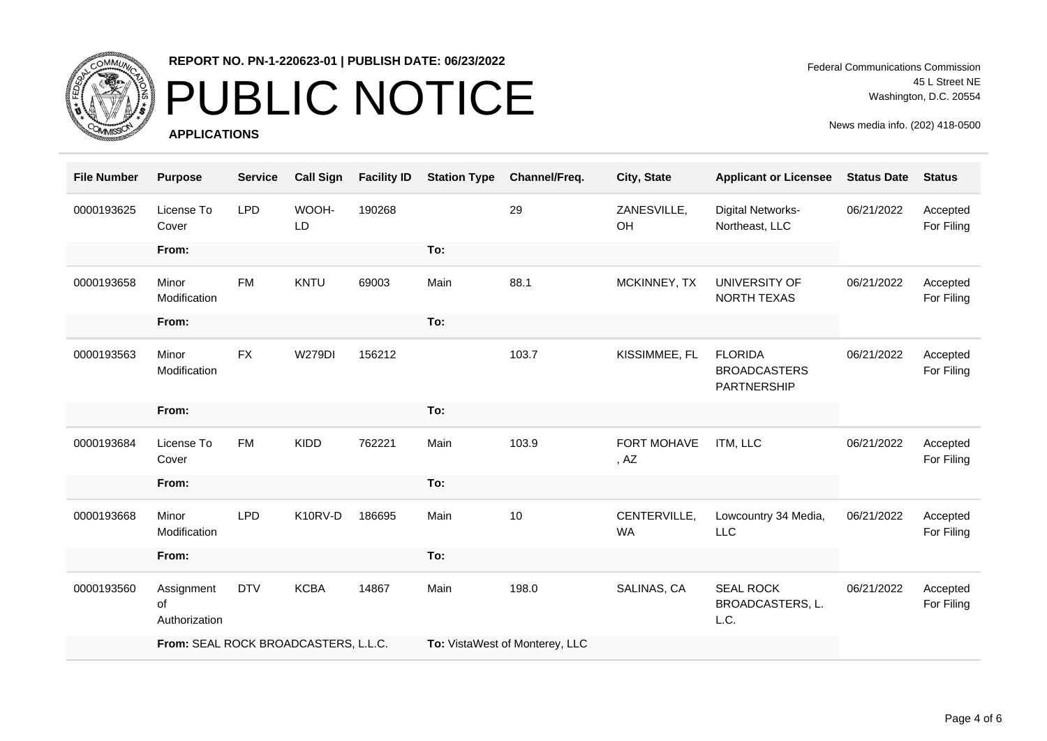

# PUBLIC NOTICE

**APPLICATIONS**

Federal Communications Commission 45 L Street NE Washington, D.C. 20554

| <b>File Number</b> | <b>Purpose</b>                       | <b>Service</b> | <b>Call Sign</b> | <b>Facility ID</b> | <b>Station Type</b>            | Channel/Freq. | City, State               | <b>Applicant or Licensee</b>                         | <b>Status Date</b> | <b>Status</b>          |
|--------------------|--------------------------------------|----------------|------------------|--------------------|--------------------------------|---------------|---------------------------|------------------------------------------------------|--------------------|------------------------|
| 0000193625         | License To<br>Cover                  | LPD            | WOOH-<br>LD      | 190268             |                                | 29            | ZANESVILLE,<br>OH         | Digital Networks-<br>Northeast, LLC                  | 06/21/2022         | Accepted<br>For Filing |
|                    | From:                                |                |                  |                    | To:                            |               |                           |                                                      |                    |                        |
| 0000193658         | Minor<br>Modification                | <b>FM</b>      | <b>KNTU</b>      | 69003              | Main                           | 88.1          | MCKINNEY, TX              | UNIVERSITY OF<br>NORTH TEXAS                         | 06/21/2022         | Accepted<br>For Filing |
|                    | From:                                |                |                  |                    | To:                            |               |                           |                                                      |                    |                        |
| 0000193563         | Minor<br>Modification                | <b>FX</b>      | <b>W279DI</b>    | 156212             |                                | 103.7         | KISSIMMEE, FL             | <b>FLORIDA</b><br><b>BROADCASTERS</b><br>PARTNERSHIP | 06/21/2022         | Accepted<br>For Filing |
|                    | From:                                |                |                  |                    | To:                            |               |                           |                                                      |                    |                        |
| 0000193684         | License To<br>Cover                  | <b>FM</b>      | <b>KIDD</b>      | 762221             | Main                           | 103.9         | FORT MOHAVE<br>, AZ       | ITM, LLC                                             | 06/21/2022         | Accepted<br>For Filing |
|                    | From:                                |                |                  |                    | To:                            |               |                           |                                                      |                    |                        |
| 0000193668         | Minor<br>Modification                | <b>LPD</b>     | K10RV-D          | 186695             | Main                           | 10            | CENTERVILLE,<br><b>WA</b> | Lowcountry 34 Media,<br><b>LLC</b>                   | 06/21/2022         | Accepted<br>For Filing |
|                    | From:                                |                |                  |                    | To:                            |               |                           |                                                      |                    |                        |
| 0000193560         | Assignment<br>of<br>Authorization    | <b>DTV</b>     | <b>KCBA</b>      | 14867              | Main                           | 198.0         | SALINAS, CA               | <b>SEAL ROCK</b><br>BROADCASTERS, L.<br>L.C.         | 06/21/2022         | Accepted<br>For Filing |
|                    | From: SEAL ROCK BROADCASTERS, L.L.C. |                |                  |                    | To: VistaWest of Monterey, LLC |               |                           |                                                      |                    |                        |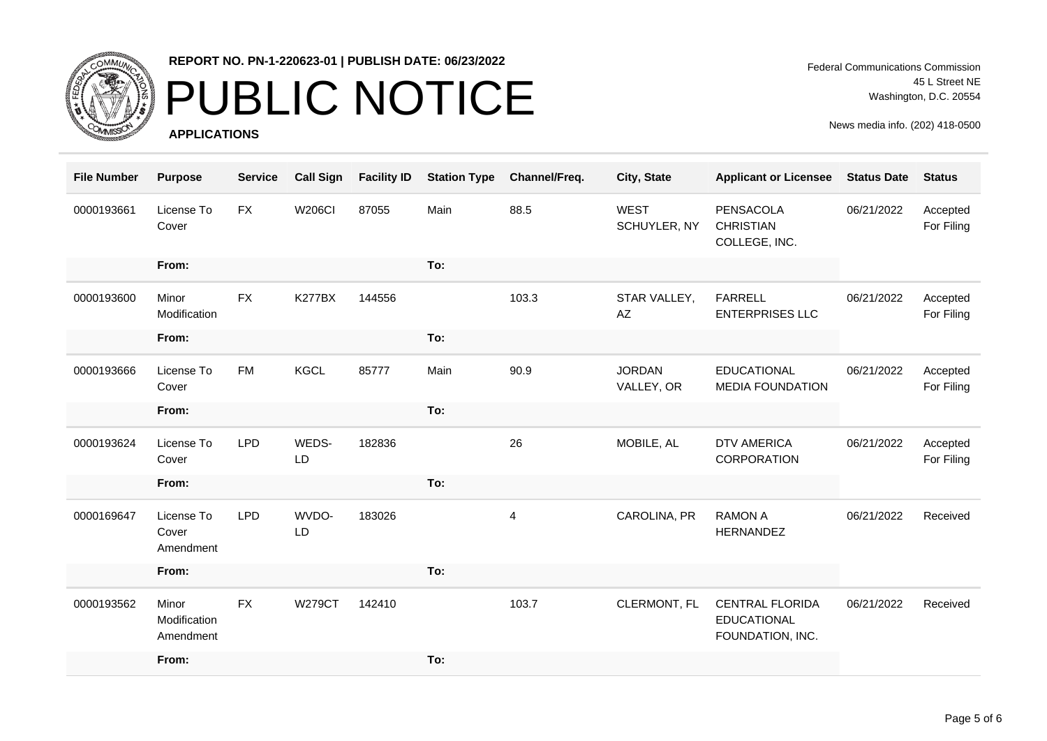

# PUBLIC NOTICE

**APPLICATIONS**

| <b>File Number</b> | <b>Purpose</b>                     | <b>Service</b> | <b>Call Sign</b> | <b>Facility ID</b> | <b>Station Type</b> | Channel/Freq. | City, State                 | <b>Applicant or Licensee</b>                                     | <b>Status Date</b> | <b>Status</b>          |
|--------------------|------------------------------------|----------------|------------------|--------------------|---------------------|---------------|-----------------------------|------------------------------------------------------------------|--------------------|------------------------|
| 0000193661         | License To<br>Cover                | <b>FX</b>      | <b>W206CI</b>    | 87055              | Main                | 88.5          | <b>WEST</b><br>SCHUYLER, NY | PENSACOLA<br><b>CHRISTIAN</b><br>COLLEGE, INC.                   | 06/21/2022         | Accepted<br>For Filing |
|                    | From:                              |                |                  |                    | To:                 |               |                             |                                                                  |                    |                        |
| 0000193600         | Minor<br>Modification              | <b>FX</b>      | <b>K277BX</b>    | 144556             |                     | 103.3         | STAR VALLEY,<br>AZ          | <b>FARRELL</b><br><b>ENTERPRISES LLC</b>                         | 06/21/2022         | Accepted<br>For Filing |
|                    | From:                              |                |                  |                    | To:                 |               |                             |                                                                  |                    |                        |
| 0000193666         | License To<br>Cover                | <b>FM</b>      | <b>KGCL</b>      | 85777              | Main                | 90.9          | <b>JORDAN</b><br>VALLEY, OR | <b>EDUCATIONAL</b><br><b>MEDIA FOUNDATION</b>                    | 06/21/2022         | Accepted<br>For Filing |
|                    | From:                              |                |                  |                    | To:                 |               |                             |                                                                  |                    |                        |
| 0000193624         | License To<br>Cover                | <b>LPD</b>     | WEDS-<br>LD      | 182836             |                     | 26            | MOBILE, AL                  | <b>DTV AMERICA</b><br>CORPORATION                                | 06/21/2022         | Accepted<br>For Filing |
|                    | From:                              |                |                  |                    | To:                 |               |                             |                                                                  |                    |                        |
| 0000169647         | License To<br>Cover<br>Amendment   | <b>LPD</b>     | WVDO-<br>LD      | 183026             |                     | 4             | CAROLINA, PR                | <b>RAMON A</b><br><b>HERNANDEZ</b>                               | 06/21/2022         | Received               |
|                    | From:                              |                |                  |                    | To:                 |               |                             |                                                                  |                    |                        |
| 0000193562         | Minor<br>Modification<br>Amendment | <b>FX</b>      | <b>W279CT</b>    | 142410             |                     | 103.7         | CLERMONT, FL                | <b>CENTRAL FLORIDA</b><br><b>EDUCATIONAL</b><br>FOUNDATION, INC. | 06/21/2022         | Received               |
|                    | From:                              |                |                  |                    | To:                 |               |                             |                                                                  |                    |                        |